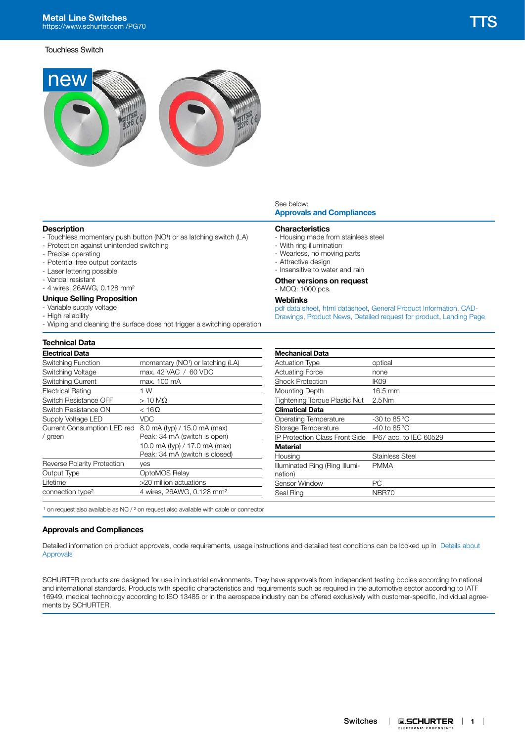

## **Description**

- Touchless momentary push button (NO<sup>1</sup>) or as latching switch (LA)
- Protection against unintended switching
- Precise operating
- Potential free output contacts
- Laser lettering possible
- Vandal resistant
- 4 wires, 26AWG, 0.128 mm²

### **Unique Selling Proposition**

- Variable supply voltage
- High reliability
- Wiping and cleaning the surface does not trigger a switching operation

## **Technical Data**

| <b>Electrical Data</b>       |                                               |
|------------------------------|-----------------------------------------------|
| Switching Function           | momentary (NO <sup>1</sup> ) or latching (LA) |
| Switching Voltage            | max, 42 VAC / 60 VDC                          |
| <b>Switching Current</b>     | max. 100 mA                                   |
| <b>Electrical Rating</b>     | 1 W                                           |
| Switch Resistance OFF        | $>10$ MQ                                      |
| Switch Resistance ON         | $<$ 16 $\Omega$                               |
| Supply Voltage LED           | VDC                                           |
| Current Consumption LED red  | 8.0 mA (typ) / 15.0 mA (max)                  |
| / green                      | Peak: 34 mA (switch is open)                  |
|                              | 10.0 mA (typ) / 17.0 mA (max)                 |
|                              | Peak: 34 mA (switch is closed)                |
| Reverse Polarity Protection  | ves                                           |
| Output Type                  | OptoMOS Relay                                 |
| Lifetime                     | >20 million actuations                        |
| connection type <sup>2</sup> | 4 wires, 26AWG, 0.128 mm <sup>2</sup>         |
|                              |                                               |

### See below: **[Approvals and Compliances](#page-0-0)**

## **Characteristics**

- Housing made from stainless steel
- With ring illumination
- Wearless, no moving parts
- Attractive design
- Insensitive to water and rain
- **Other versions on request**

### - MOQ: 1000 pcs.

**Weblinks**

[pdf data sheet,](https://www.schurter.com/en/datasheet/typ_TTS.pdf?utm_source=PDF_Files&utm_medium=TTS&utm_campaign=Weblinks) [html datasheet](https://www.schurter.com/en/datasheet/TTS?&utm_source=PDF_Files&utm_medium=TTS&utm_campaign=Weblinks), [General Product Information,](http://www.schurter.comGeneralProductInformationhttp://test.schurter.comhttps://www.schurter.ch/en/products/es_general_info.asplanguage_id=0General_Product_Information_Input_System) [CAD-](https://www.schurter.com/en/cad)[Drawings,](https://www.schurter.com/en/cad) [Product News](https://www.schurter.com/en/Newsroom?sbu=Switches), [Detailed request for product](https://www.schurter.com/en/Contacts/Contact-Form?type=TTS), [Landing Page](https://www.schurter.com/en/tts)

| <b>Mechanical Data</b>               |                        |
|--------------------------------------|------------------------|
| <b>Actuation Type</b>                | optical                |
| <b>Actuating Force</b>               | none                   |
| <b>Shock Protection</b>              | IK <sub>09</sub>       |
| Mounting Depth                       | $16.5 \text{ mm}$      |
| <b>Tightening Torque Plastic Nut</b> | $2.5$ Nm               |
| <b>Climatical Data</b>               |                        |
| Operating Temperature                | -30 to 85 $^{\circ}$ C |
| Storage Temperature                  | -40 to 85 $^{\circ}$ C |
| IP Protection Class Front Side       | IP67 acc. to IEC 60529 |
| <b>Material</b>                      |                        |
| Housing                              | <b>Stainless Steel</b> |
| Illuminated Ring (Ring Illumi-       | <b>PMMA</b>            |
| nation)                              |                        |
| Sensor Window                        | РC                     |
| Seal Ring                            | NBR70                  |
|                                      |                        |

 $1$  on request also available as NC  $/$   $2$  on request also available with cable or connector

### <span id="page-0-0"></span>**Approvals and Compliances**

Detailed information on product approvals, code requirements, usage instructions and detailed test conditions can be looked up in [Details about](https://www.schurter.com/en/Components/Connectors/General-Product-Information#1.1)  [Approvals](https://www.schurter.com/en/Components/Connectors/General-Product-Information#1.1)

SCHURTER products are designed for use in industrial environments. They have approvals from independent testing bodies according to national and international standards. Products with specific characteristics and requirements such as required in the automotive sector according to IATF 16949, medical technology according to ISO 13485 or in the aerospace industry can be offered exclusively with customer-specific, individual agreements by SCHURTER.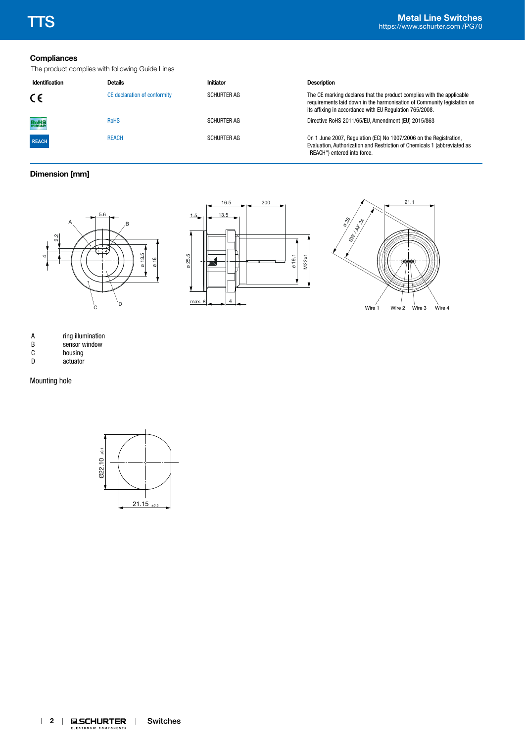# **Compliances**

The product complies with following Guide Lines

| Identification | <b>Details</b>               | Initiator          | <b>Description</b>                                                                                                                                                                                          |
|----------------|------------------------------|--------------------|-------------------------------------------------------------------------------------------------------------------------------------------------------------------------------------------------------------|
| CE             | CE declaration of conformity | <b>SCHURTER AG</b> | The CE marking declares that the product complies with the applicable<br>requirements laid down in the harmonisation of Community legislation on<br>its affixing in accordance with EU Regulation 765/2008. |
| RoHS           | <b>RoHS</b>                  | <b>SCHURTER AG</b> | Directive RoHS 2011/65/EU, Amendment (EU) 2015/863                                                                                                                                                          |
| <b>REACH</b>   | <b>REACH</b>                 | <b>SCHURTER AG</b> | On 1 June 2007, Regulation (EC) No 1907/2006 on the Registration,<br>Evaluation, Authorization and Restriction of Chemicals 1 (abbreviated as<br>"REACH") entered into force.                               |

## **Dimension [mm]**







| A |  | ring illumination |
|---|--|-------------------|
|   |  |                   |

| B | sensor window |
|---|---------------|
|   |               |

- C<br>
D
actuator<br>
D
actuator
- actuator

Mounting hole

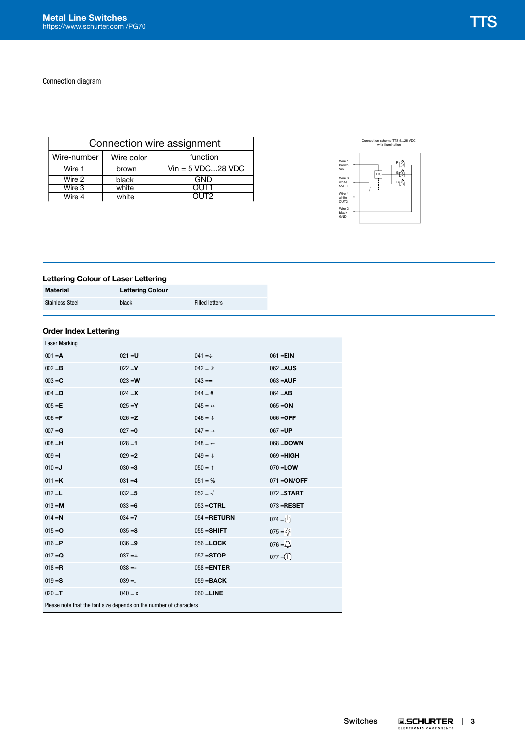Connection diagram

| Connection wire assignment |            |                      |  |  |  |  |
|----------------------------|------------|----------------------|--|--|--|--|
| Wire-number                | Wire color | function             |  |  |  |  |
| Wire 1                     | brown      | $V$ in = 5 VDC28 VDC |  |  |  |  |
| Wire 2                     | black      | GND                  |  |  |  |  |
| Wire 3                     | white      | OUT1                 |  |  |  |  |
| Wire 4                     | white      | OUT2                 |  |  |  |  |





# **Lettering Colour of Laser Lettering**

| <b>Material</b>        | <b>Lettering Colour</b> |                       |  |  |  |  |
|------------------------|-------------------------|-----------------------|--|--|--|--|
| <b>Stainless Steel</b> | black                   | <b>Filled letters</b> |  |  |  |  |

## **Order Index Lettering**

| <b>Laser Marking</b>                                               |           |                         |                     |  |  |  |  |
|--------------------------------------------------------------------|-----------|-------------------------|---------------------|--|--|--|--|
| $001 = A$                                                          | $021 = U$ | $041 = \div$            | $061 = EIN$         |  |  |  |  |
| $002 = B$                                                          | $022 = V$ | $042 = *$               | $062 = AUS$         |  |  |  |  |
| $003 = C$                                                          | $023 = W$ | $043 ==$                | $063 = AUF$         |  |  |  |  |
| $004 = D$                                                          | $024 = X$ | $044 = #$               | $064 = AB$          |  |  |  |  |
| $005 = E$                                                          | $025 = Y$ | $045 = \leftrightarrow$ | $065 = ON$          |  |  |  |  |
| $006 = F$                                                          | $026 = Z$ | $046 = 1$               | $066 =$ OFF         |  |  |  |  |
| $007 = G$                                                          | $027 = 0$ | $047 = \rightarrow$     | $067 = UP$          |  |  |  |  |
| $008 = H$                                                          | $028 = 1$ | $048 =$ $\leftarrow$    | $068 =$ <b>DOWN</b> |  |  |  |  |
| $009 = I$                                                          | $029 = 2$ | $049 = 1$               | $069 = HIGH$        |  |  |  |  |
| $010 = J$                                                          | $030 = 3$ | $050 = 1$               | $070 =$ <b>LOW</b>  |  |  |  |  |
| $011 = K$                                                          | $031 = 4$ | $051 = %$               | $071 = ON/OFF$      |  |  |  |  |
| $012 = L$                                                          | $032 = 5$ | $052 = \sqrt{ }$        | $072 =$ START       |  |  |  |  |
| $013 = M$                                                          | $033 = 6$ | $053 = CTRL$            | $073 = RESET$       |  |  |  |  |
| $014 = N$                                                          | $034 = 7$ | $054 = RETIMEN$         | $074 = 0$           |  |  |  |  |
| $015 = 0$                                                          | $035 = 8$ | $055 =$ SHIFT           | $075 = \frac{1}{2}$ |  |  |  |  |
| $016 = P$                                                          | $036 = 9$ | $056 =$ <b>LOCK</b>     | $076 = 2$           |  |  |  |  |
| $017 = Q$                                                          | $037 = +$ | $057 = STOP$            | $077 = 0$           |  |  |  |  |
| $018 = R$                                                          | $038 = -$ | $058 = ENTER$           |                     |  |  |  |  |
| $019 = S$                                                          | $039 =$   | $059 = BACK$            |                     |  |  |  |  |
| $020 = T$                                                          | $040 = x$ | $060 =$ LINE            |                     |  |  |  |  |
| Please note that the font size depends on the number of characters |           |                         |                     |  |  |  |  |